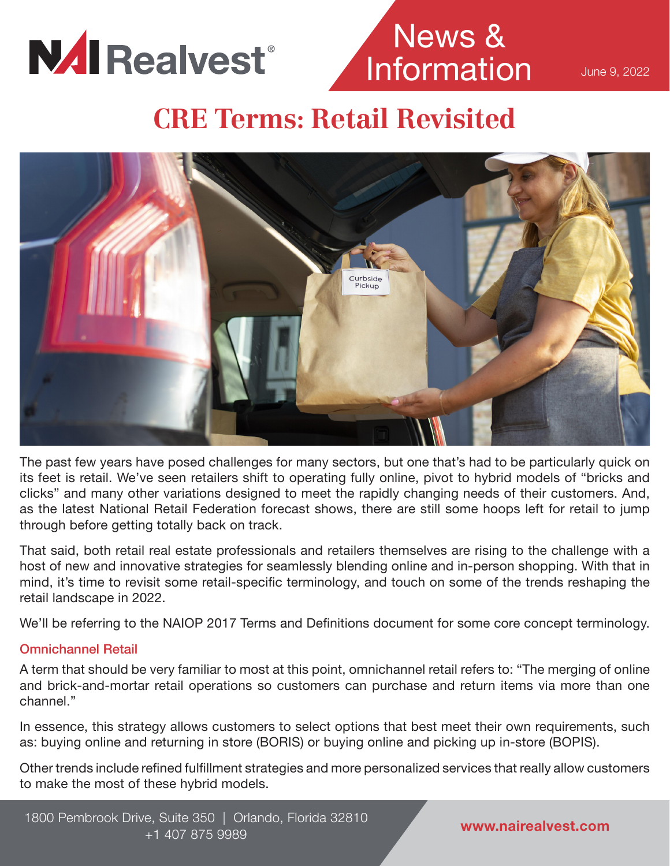

# News & Information

June 9, 2022

## **CRE Terms: Retail Revisited**



The past few years have posed challenges for many sectors, but one that's had to be particularly quick on its feet is retail. We've seen retailers shift to operating fully online, pivot to hybrid models of "bricks and clicks" and many other variations designed to meet the rapidly changing needs of their customers. And, as the latest National Retail Federation forecast shows, there are still some hoops left for retail to jump through before getting totally back on track.

That said, both retail real estate professionals and retailers themselves are rising to the challenge with a host of new and innovative strategies for seamlessly blending online and in-person shopping. With that in mind, it's time to revisit some retail-specific terminology, and touch on some of the trends reshaping the retail landscape in 2022.

We'll be referring to the NAIOP 2017 Terms and Definitions document for some core concept terminology.

### Omnichannel Retail

A term that should be very familiar to most at this point, omnichannel retail refers to: "The merging of online and brick-and-mortar retail operations so customers can purchase and return items via more than one channel."

In essence, this strategy allows customers to select options that best meet their own requirements, such as: buying online and returning in store (BORIS) or buying online and picking up in-store (BOPIS).

Other trends include refined fulfillment strategies and more personalized services that really allow customers to make the most of these hybrid models.